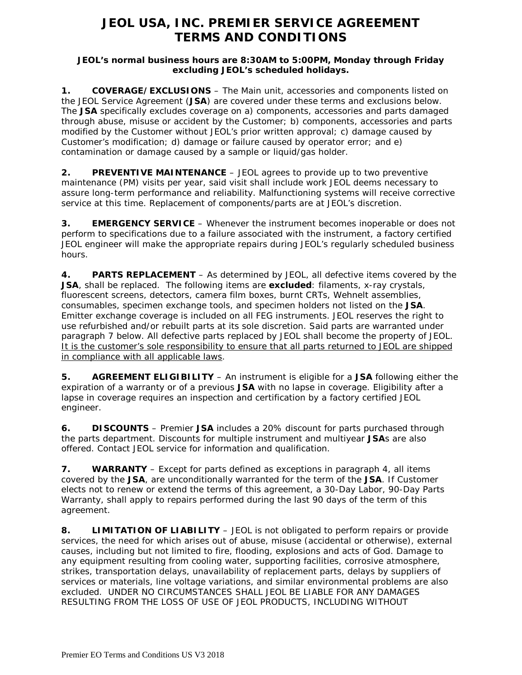# **JEOL USA, INC. PREMIER SERVICE AGREEMENT TERMS AND CONDITIONS**

### **JEOL's normal business hours are 8:30AM to 5:00PM, Monday through Friday excluding JEOL's scheduled holidays.**

**1. COVERAGE/EXCLUSIONS** – The Main unit, accessories and components listed on the JEOL Service Agreement (**JSA**) are covered under these terms and exclusions below. The **JSA** specifically excludes coverage on a) components, accessories and parts damaged through abuse, misuse or accident by the Customer; b) components, accessories and parts modified by the Customer without JEOL's prior written approval; c) damage caused by Customer's modification; d) damage or failure caused by operator error; and e) contamination or damage caused by a sample or liquid/gas holder.

**2. PREVENTIVE MAINTENANCE** – JEOL agrees to provide up to two preventive maintenance (PM) visits per year, said visit shall include work JEOL deems necessary to assure long-term performance and reliability. Malfunctioning systems will receive corrective service at this time. Replacement of components/parts are at JEOL's discretion.

**3. EMERGENCY SERVICE** – Whenever the instrument becomes inoperable or does not perform to specifications due to a failure associated with the instrument, a factory certified JEOL engineer will make the appropriate repairs during JEOL's regularly scheduled business hours.

**4. PARTS REPLACEMENT** – As determined by JEOL, all defective items covered by the **JSA**, shall be replaced. The following items are **excluded**: filaments, x-ray crystals, fluorescent screens, detectors, camera film boxes, burnt CRTs, Wehnelt assemblies, consumables, specimen exchange tools, and specimen holders not listed on the **JSA**. Emitter exchange coverage is included on all FEG instruments. JEOL reserves the right to use refurbished and/or rebuilt parts at its sole discretion. Said parts are warranted under paragraph 7 below. All defective parts replaced by JEOL shall become the property of JEOL. It is the customer's sole responsibility to ensure that all parts returned to JEOL are shipped in compliance with all applicable laws.

**5. AGREEMENT ELIGIBILITY** – An instrument is eligible for a **JSA** following either the expiration of a warranty or of a previous **JSA** with no lapse in coverage. Eligibility after a lapse in coverage requires an inspection and certification by a factory certified JEOL engineer.

**6. DISCOUNTS** – Premier **JSA** includes a 20% discount for parts purchased through the parts department. Discounts for multiple instrument and multiyear **JSA**s are also offered. Contact JEOL service for information and qualification.

**7. WARRANTY** – Except for parts defined as exceptions in paragraph 4, all items covered by the **JSA**, are unconditionally warranted for the term of the **JSA**. If Customer elects not to renew or extend the terms of this agreement, a 30-Day Labor, 90-Day Parts Warranty, shall apply to repairs performed during the last 90 days of the term of this agreement.

**8. LIMITATION OF LIABILITY** – JEOL is not obligated to perform repairs or provide services, the need for which arises out of abuse, misuse (accidental or otherwise), external causes, including but not limited to fire, flooding, explosions and acts of God. Damage to any equipment resulting from cooling water, supporting facilities, corrosive atmosphere, strikes, transportation delays, unavailability of replacement parts, delays by suppliers of services or materials, line voltage variations, and similar environmental problems are also excluded. UNDER NO CIRCUMSTANCES SHALL JEOL BE LIABLE FOR ANY DAMAGES RESULTING FROM THE LOSS OF USE OF JEOL PRODUCTS, INCLUDING WITHOUT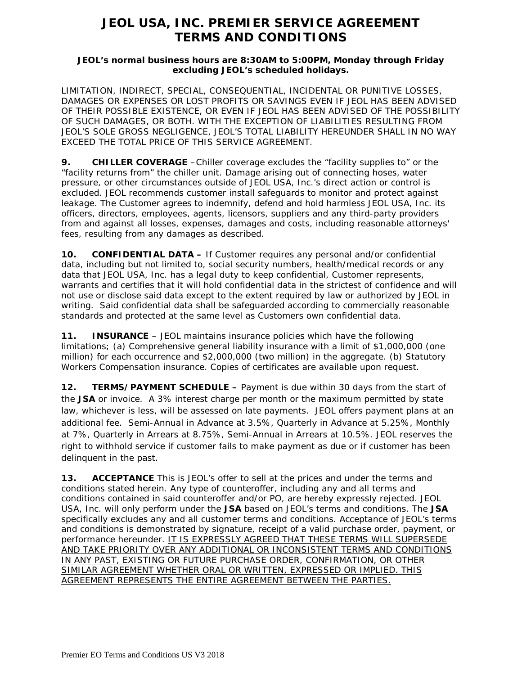# **JEOL USA, INC. PREMIER SERVICE AGREEMENT TERMS AND CONDITIONS**

### **JEOL's normal business hours are 8:30AM to 5:00PM, Monday through Friday excluding JEOL's scheduled holidays.**

LIMITATION, INDIRECT, SPECIAL, CONSEQUENTIAL, INCIDENTAL OR PUNITIVE LOSSES, DAMAGES OR EXPENSES OR LOST PROFITS OR SAVINGS EVEN IF JEOL HAS BEEN ADVISED OF THEIR POSSIBLE EXISTENCE, OR EVEN IF JEOL HAS BEEN ADVISED OF THE POSSIBILITY OF SUCH DAMAGES, OR BOTH. WITH THE EXCEPTION OF LIABILITIES RESULTING FROM JEOL'S SOLE GROSS NEGLIGENCE, JEOL'S TOTAL LIABILITY HEREUNDER SHALL IN NO WAY EXCEED THE TOTAL PRICE OF THIS SERVICE AGREEMENT.

**9. CHILLER COVERAGE** –Chiller coverage excludes the "facility supplies to" or the "facility returns from" the chiller unit. Damage arising out of connecting hoses, water pressure, or other circumstances outside of JEOL USA, Inc.'s direct action or control is excluded. JEOL recommends customer install safeguards to monitor and protect against leakage. The Customer agrees to indemnify, defend and hold harmless JEOL USA, Inc. its officers, directors, employees, agents, licensors, suppliers and any third-party providers from and against all losses, expenses, damages and costs, including reasonable attorneys' fees, resulting from any damages as described.

**10. CONFIDENTIAL DATA –** If Customer requires any personal and/or confidential data, including but not limited to, social security numbers, health/medical records or any data that JEOL USA, Inc. has a legal duty to keep confidential, Customer represents, warrants and certifies that it will hold confidential data in the strictest of confidence and will not use or disclose said data except to the extent required by law or authorized by JEOL in writing. Said confidential data shall be safeguarded according to commercially reasonable standards and protected at the same level as Customers own confidential data.

**11. INSURANCE** – JEOL maintains insurance policies which have the following limitations; (a) Comprehensive general liability insurance with a limit of \$1,000,000 (one million) for each occurrence and \$2,000,000 (two million) in the aggregate. (b) Statutory Workers Compensation insurance. Copies of certificates are available upon request.

**12. TERMS/PAYMENT SCHEDULE –** Payment is due within 30 days from the start of the **JSA** or invoice. A 3% interest charge per month or the maximum permitted by state law, whichever is less, will be assessed on late payments. JEOL offers payment plans at an additional fee. Semi-Annual in Advance at 3.5%, Quarterly in Advance at 5.25%, Monthly at 7%, Quarterly in Arrears at 8.75%, Semi-Annual in Arrears at 10.5%. JEOL reserves the right to withhold service if customer fails to make payment as due or if customer has been delinquent in the past.

**13. ACCEPTANCE** This is JEOL's offer to sell at the prices and under the terms and conditions stated herein. Any type of counteroffer, including any and all terms and conditions contained in said counteroffer and/or PO, are hereby expressly rejected. JEOL USA, Inc. will only perform under the **JSA** based on JEOL's terms and conditions. The **JSA** specifically excludes any and all customer terms and conditions. Acceptance of JEOL's terms and conditions is demonstrated by signature, receipt of a valid purchase order, payment, or performance hereunder. IT IS EXPRESSLY AGREED THAT THESE TERMS WILL SUPERSEDE AND TAKE PRIORITY OVER ANY ADDITIONAL OR INCONSISTENT TERMS AND CONDITIONS IN ANY PAST, EXISTING OR FUTURE PURCHASE ORDER, CONFIRMATION, OR OTHER SIMILAR AGREEMENT WHETHER ORAL OR WRITTEN, EXPRESSED OR IMPLIED. THIS AGREEMENT REPRESENTS THE ENTIRE AGREEMENT BETWEEN THE PARTIES.